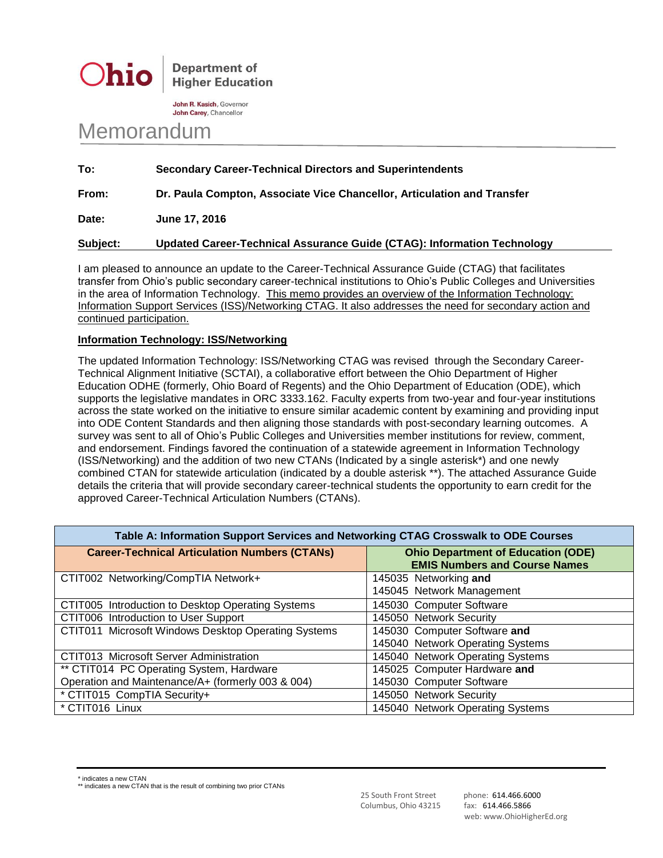

**Department of Higher Education** 

John R. Kasich, Governor John Carey, Chancellor

## Memorandum

| To:             | <b>Secondary Career-Technical Directors and Superintendents</b>         |
|-----------------|-------------------------------------------------------------------------|
| From:           | Dr. Paula Compton, Associate Vice Chancellor, Articulation and Transfer |
| Date:           | June 17, 2016                                                           |
| <b>Subject:</b> | Updated Career-Technical Assurance Guide (CTAG): Information Technology |

I am pleased to announce an update to the Career-Technical Assurance Guide (CTAG) that facilitates transfer from Ohio's public secondary career-technical institutions to Ohio's Public Colleges and Universities in the area of Information Technology. This memo provides an overview of the Information Technology: Information Support Services (ISS)/Networking CTAG. It also addresses the need for secondary action and continued participation.

## **Information Technology: ISS/Networking**

The updated Information Technology: ISS/Networking CTAG was revised through the Secondary Career-Technical Alignment Initiative (SCTAI), a collaborative effort between the Ohio Department of Higher Education ODHE (formerly, Ohio Board of Regents) and the Ohio Department of Education (ODE), which supports the legislative mandates in ORC 3333.162. Faculty experts from two-year and four-year institutions across the state worked on the initiative to ensure similar academic content by examining and providing input into ODE Content Standards and then aligning those standards with post-secondary learning outcomes. A survey was sent to all of Ohio's Public Colleges and Universities member institutions for review, comment, and endorsement. Findings favored the continuation of a statewide agreement in Information Technology (ISS/Networking) and the addition of two new CTANs (Indicated by a single asterisk\*) and one newly combined CTAN for statewide articulation (indicated by a double asterisk \*\*). The attached Assurance Guide details the criteria that will provide secondary career-technical students the opportunity to earn credit for the approved Career-Technical Articulation Numbers (CTANs).

| Table A: Information Support Services and Networking CTAG Crosswalk to ODE Courses |                                           |  |  |
|------------------------------------------------------------------------------------|-------------------------------------------|--|--|
| <b>Career-Technical Articulation Numbers (CTANs)</b>                               | <b>Ohio Department of Education (ODE)</b> |  |  |
|                                                                                    | <b>EMIS Numbers and Course Names</b>      |  |  |
| CTIT002 Networking/CompTIA Network+                                                | 145035 Networking and                     |  |  |
|                                                                                    | 145045 Network Management                 |  |  |
| CTIT005 Introduction to Desktop Operating Systems                                  | 145030 Computer Software                  |  |  |
| CTIT006 Introduction to User Support                                               | 145050 Network Security                   |  |  |
| CTIT011 Microsoft Windows Desktop Operating Systems                                | 145030 Computer Software and              |  |  |
|                                                                                    | 145040 Network Operating Systems          |  |  |
| CTIT013 Microsoft Server Administration                                            | 145040 Network Operating Systems          |  |  |
| ** CTIT014 PC Operating System, Hardware                                           | 145025 Computer Hardware and              |  |  |
| Operation and Maintenance/A+ (formerly 003 & 004)                                  | 145030 Computer Software                  |  |  |
| * CTIT015 CompTIA Security+                                                        | 145050 Network Security                   |  |  |
| * CTIT016 Linux                                                                    | 145040 Network Operating Systems          |  |  |

indicates a new CTAN

\*\* indicates a new CTAN that is the result of combining two prior CTANs

25 South Front Street phone: 614.466.6000 Columbus, Ohio 43215 fax: 614.466.5866

web: www.OhioHigherEd.org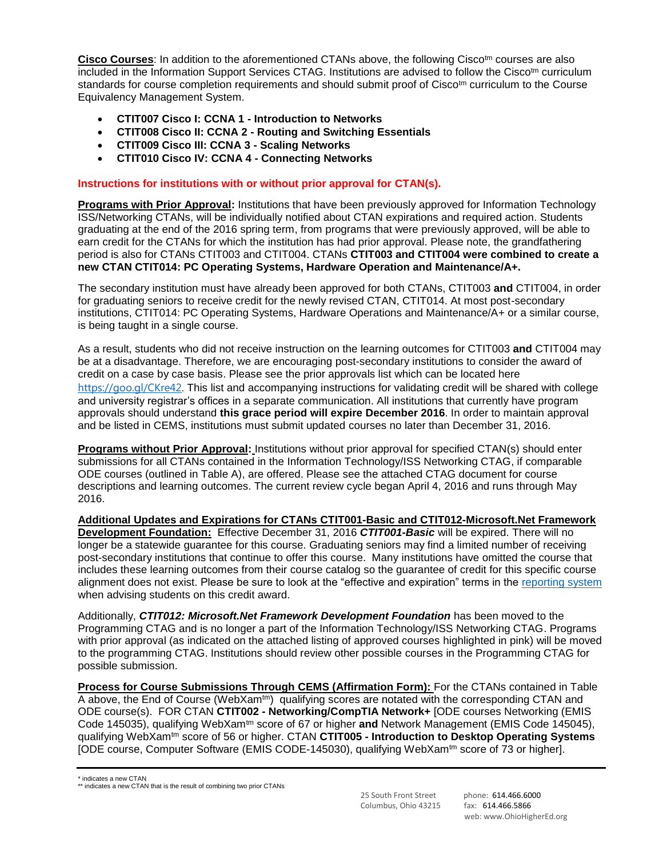Cisco Courses: In addition to the aforementioned CTANs above, the following Cisco<sup>tm</sup> courses are also included in the Information Support Services CTAG. Institutions are advised to follow the Cisco<sup>tm</sup> curriculum standards for course completion requirements and should submit proof of Cisco<sup>tm</sup> curriculum to the Course Equivalency Management System.

- **CTIT007 Cisco I: CCNA 1 - Introduction to Networks**
- **CTIT008 Cisco II: CCNA 2 - Routing and Switching Essentials**
- **CTIT009 Cisco III: CCNA 3 - Scaling Networks**
- **CTIT010 Cisco IV: CCNA 4 - Connecting Networks**

## **Instructions for institutions with or without prior approval for CTAN(s).**

**Programs with Prior Approval:** Institutions that have been previously approved for Information Technology ISS/Networking CTANs, will be individually notified about CTAN expirations and required action. Students graduating at the end of the 2016 spring term, from programs that were previously approved, will be able to earn credit for the CTANs for which the institution has had prior approval. Please note, the grandfathering period is also for CTANs CTIT003 and CTIT004. CTANs **CTIT003 and CTIT004 were combined to create a new CTAN CTIT014: PC Operating Systems, Hardware Operation and Maintenance/A+.**

The secondary institution must have already been approved for both CTANs, CTIT003 **and** CTIT004, in order for graduating seniors to receive credit for the newly revised CTAN, CTIT014. At most post-secondary institutions, CTIT014: PC Operating Systems, Hardware Operations and Maintenance/A+ or a similar course, is being taught in a single course.

As a result, students who did not receive instruction on the learning outcomes for CTIT003 **and** CTIT004 may be at a disadvantage. Therefore, we are encouraging post-secondary institutions to consider the award of credit on a case by case basis. Please see the prior approvals list which can be located here [https://goo.gl/CKre42.](https://goo.gl/CKre42) This list and accompanying instructions for validating credit will be shared with college and university registrar's offices in a separate communication. All institutions that currently have program approvals should understand **this grace period will expire December 2016**. In order to maintain approval and be listed in CEMS, institutions must submit updated courses no later than December 31, 2016.

**Programs without Prior Approval:** Institutions without prior approval for specified CTAN(s) should enter submissions for all CTANs contained in the Information Technology/ISS Networking CTAG, if comparable ODE courses (outlined in Table A), are offered. Please see the attached CTAG document for course descriptions and learning outcomes. The current review cycle began April 4, 2016 and runs through May 2016.

**Additional Updates and Expirations for CTANs CTIT001-Basic and CTIT012-Microsoft.Net Framework Development Foundation:** Effective December 31, 2016 *CTIT001-Basic* will be expired. There will no longer be a statewide guarantee for this course. Graduating seniors may find a limited number of receiving post-secondary institutions that continue to offer this course. Many institutions have omitted the course that includes these learning outcomes from their course catalog so the guarantee of credit for this specific course alignment does not exist. Please be sure to look at the "effective and expiration" terms in the [reporting system](https://reports-cems.transfercredit.ohio.gov/) when advising students on this credit award.

Additionally, *CTIT012: Microsoft.Net Framework Development Foundation* has been moved to the Programming CTAG and is no longer a part of the Information Technology/ISS Networking CTAG. Programs with prior approval (as indicated on the attached listing of approved courses highlighted in pink) will be moved to the programming CTAG. Institutions should review other possible courses in the Programming CTAG for possible submission.

**Process for Course Submissions Through CEMS (Affirmation Form):** For the CTANs contained in Table A above, the End of Course (WebXam<sup>tm</sup>) qualifying scores are notated with the corresponding CTAN and ODE course(s). FOR CTAN **CTIT002 - Networking/CompTIA Network+** [ODE courses Networking (EMIS Code 145035), qualifying WebXamtm score of 67 or higher **and** Network Management (EMIS Code 145045), qualifying WebXamtm score of 56 or higher. CTAN **CTIT005 - Introduction to Desktop Operating Systems** [ODE course, Computer Software (EMIS CODE-145030), qualifying WebXam<sup>tm</sup> score of 73 or higher].

indicates a new CTAN

25 South Front Street phone: 614.466.6000 Columbus, Ohio 43215 fax: 614.466.5866

web: www.OhioHigherEd.org

<sup>\*\*</sup> indicates a new CTAN that is the result of combining two prior CTANs